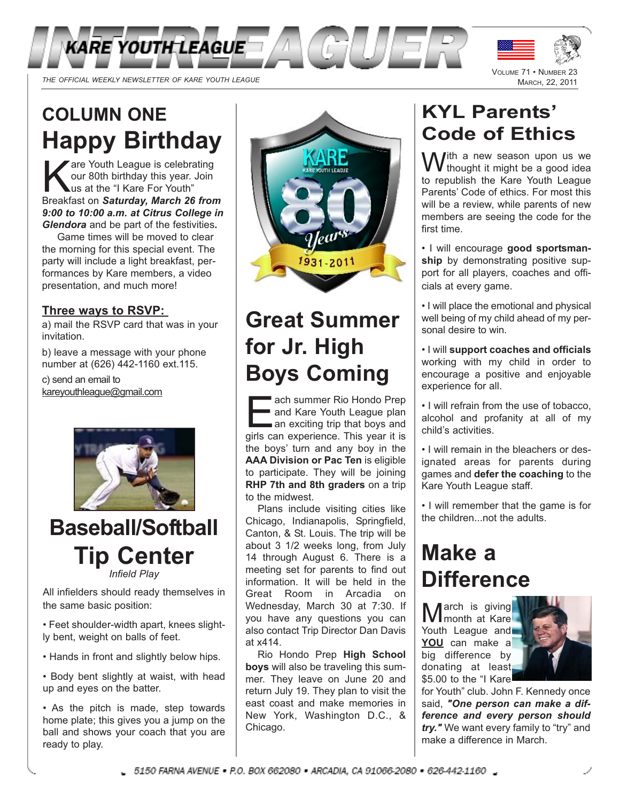



# **COLUMN ONE Happy Birthday**

are Youth League is celebrating our 80th birthday this year. Join us at the "I Kare For Youth" Breakfast on *Saturday, March 26 from 9:00 to 10:00 a.m. at Citrus College in Glendora* and be part of the festivities*.*

Game times will be moved to clear the morning for this special event. The party will include a light breakfast, performances by Kare members, a video presentation, and much more!

#### **Three ways to RSVP:**

a) mail the RSVP card that was in your invitation.

b) leave a message with your phone number at (626) 442-1160 ext.115.

c) send an email to kareyouthleague@gmail.com



# **Baseball/Softball Tip Center** *Infield Play*

All infielders should ready themselves in the same basic position:

• Feet shoulder-width apart, knees slightly bent, weight on balls of feet.

- Hands in front and slightly below hips.
- Body bent slightly at waist, with head up and eyes on the batter.

• As the pitch is made, step towards home plate; this gives you a jump on the ball and shows your coach that you are ready to play.



# **Great Summer for Jr. High Boys Coming**

ach summer Rio Hondo Prep<br>
and Kare Youth League plan<br>
an exciting trip that boys and<br>
oirls can experience. This year it is and Kare Youth League plan girls can experience. This year it is the boys' turn and any boy in the **AAA Division or Pac Ten** is eligible to participate. They will be joining **RHP 7th and 8th graders** on a trip to the midwest.

Plans include visiting cities like Chicago, Indianapolis, Springfield, Canton, & St. Louis. The trip will be about 3 1/2 weeks long, from July 14 through August 6. There is a meeting set for parents to find out information. It will be held in the Great Room in Arcadia on Wednesday, March 30 at 7:30. If you have any questions you can also contact Trip Director Dan Davis at x414.

Rio Hondo Prep **High School boys** will also be traveling this summer. They leave on June 20 and return July 19. They plan to visit the east coast and make memories in New York, Washington D.C., & Chicago.

# **KYL Parents' Code of Ethics**

With a new season upon us we<br>Withought it might be a good idea to republish the Kare Youth League Parents' Code of ethics. For most this will be a review, while parents of new members are seeing the code for the first time.

• I will encourage **good sportsman**ship by demonstrating positive support for all players, coaches and officials at every game.

• I will place the emotional and physical well being of my child ahead of my personal desire to win.

• I will **support coaches and officials** working with my child in order to encourage a positive and enjoyable experience for all.

• I will refrain from the use of tobacco, alcohol and profanity at all of my child's activities.

• I will remain in the bleachers or designated areas for parents during games and **defer the coaching** to the Kare Youth League staff.

• I will remember that the game is for the children...not the adults.

# **Make a Difference**

March is giving<br>
Mmonth at Kare Youth League and **YOU** can make a big difference by donating at least \$5.00 to the "I Kare



for Youth" club. John F. Kennedy once said, *"One person can make a difference and every person should try."* We want every family to "try" and make a difference in March.